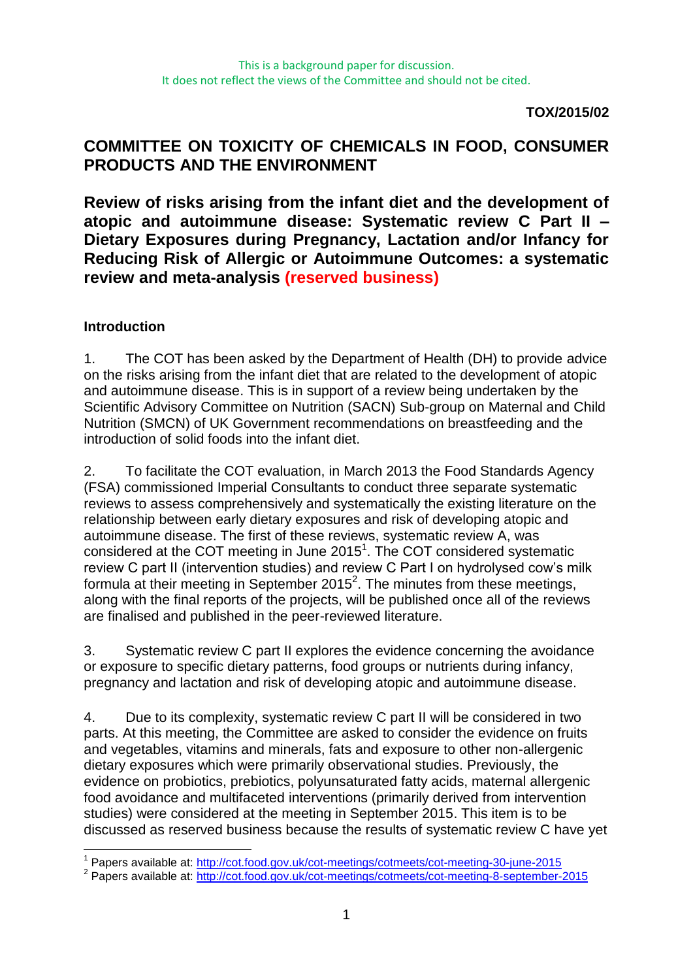**TOX/2015/02**

# **COMMITTEE ON TOXICITY OF CHEMICALS IN FOOD, CONSUMER PRODUCTS AND THE ENVIRONMENT**

**Review of risks arising from the infant diet and the development of atopic and autoimmune disease: Systematic review C Part II – Dietary Exposures during Pregnancy, Lactation and/or Infancy for Reducing Risk of Allergic or Autoimmune Outcomes: a systematic review and meta-analysis (reserved business)**

## **Introduction**

1. The COT has been asked by the Department of Health (DH) to provide advice on the risks arising from the infant diet that are related to the development of atopic and autoimmune disease. This is in support of a review being undertaken by the Scientific Advisory Committee on Nutrition (SACN) Sub-group on Maternal and Child Nutrition (SMCN) of UK Government recommendations on breastfeeding and the introduction of solid foods into the infant diet.

2. To facilitate the COT evaluation, in March 2013 the Food Standards Agency (FSA) commissioned Imperial Consultants to conduct three separate systematic reviews to assess comprehensively and systematically the existing literature on the relationship between early dietary exposures and risk of developing atopic and autoimmune disease. The first of these reviews, systematic review A, was considered at the COT meeting in June  $2015<sup>1</sup>$ . The COT considered systematic review C part II (intervention studies) and review C Part I on hydrolysed cow's milk formula at their meeting in September 2015<sup>2</sup>. The minutes from these meetings, along with the final reports of the projects, will be published once all of the reviews are finalised and published in the peer-reviewed literature.

3. Systematic review C part II explores the evidence concerning the avoidance or exposure to specific dietary patterns, food groups or nutrients during infancy, pregnancy and lactation and risk of developing atopic and autoimmune disease.

4. Due to its complexity, systematic review C part II will be considered in two parts. At this meeting, the Committee are asked to consider the evidence on fruits and vegetables, vitamins and minerals, fats and exposure to other non-allergenic dietary exposures which were primarily observational studies. Previously, the evidence on probiotics, prebiotics, polyunsaturated fatty acids, maternal allergenic food avoidance and multifaceted interventions (primarily derived from intervention studies) were considered at the meeting in September 2015. This item is to be discussed as reserved business because the results of systematic review C have yet

<sup>1</sup> <sup>1</sup> Papers available at:<http://cot.food.gov.uk/cot-meetings/cotmeets/cot-meeting-30-june-2015>

<sup>&</sup>lt;sup>2</sup> Papers available at:<http://cot.food.gov.uk/cot-meetings/cotmeets/cot-meeting-8-september-2015>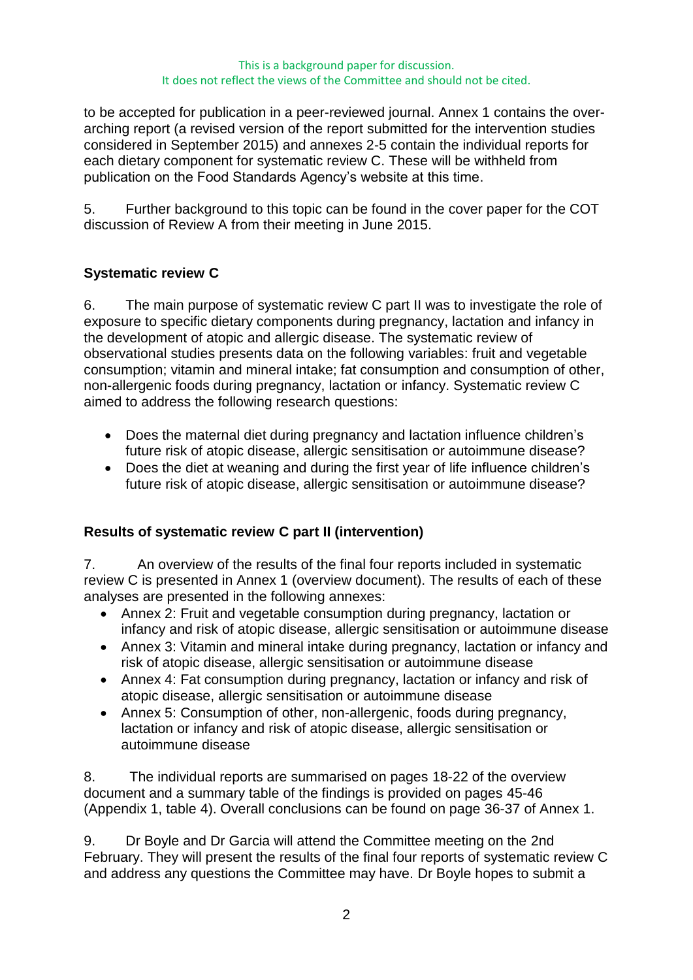#### This is a background paper for discussion. It does not reflect the views of the Committee and should not be cited.

to be accepted for publication in a peer-reviewed journal. Annex 1 contains the overarching report (a revised version of the report submitted for the intervention studies considered in September 2015) and annexes 2-5 contain the individual reports for each dietary component for systematic review C. These will be withheld from publication on the Food Standards Agency's website at this time.

5. Further background to this topic can be found in the cover paper for the COT discussion of Review A from their meeting in June 2015.

## **Systematic review C**

6. The main purpose of systematic review C part II was to investigate the role of exposure to specific dietary components during pregnancy, lactation and infancy in the development of atopic and allergic disease. The systematic review of observational studies presents data on the following variables: fruit and vegetable consumption; vitamin and mineral intake; fat consumption and consumption of other, non-allergenic foods during pregnancy, lactation or infancy. Systematic review C aimed to address the following research questions:

- Does the maternal diet during pregnancy and lactation influence children's future risk of atopic disease, allergic sensitisation or autoimmune disease?
- Does the diet at weaning and during the first year of life influence children's future risk of atopic disease, allergic sensitisation or autoimmune disease?

## **Results of systematic review C part II (intervention)**

7. An overview of the results of the final four reports included in systematic review C is presented in Annex 1 (overview document). The results of each of these analyses are presented in the following annexes:

- Annex 2: Fruit and vegetable consumption during pregnancy, lactation or infancy and risk of atopic disease, allergic sensitisation or autoimmune disease
- Annex 3: Vitamin and mineral intake during pregnancy, lactation or infancy and risk of atopic disease, allergic sensitisation or autoimmune disease
- Annex 4: Fat consumption during pregnancy, lactation or infancy and risk of atopic disease, allergic sensitisation or autoimmune disease
- Annex 5: Consumption of other, non-allergenic, foods during pregnancy, lactation or infancy and risk of atopic disease, allergic sensitisation or autoimmune disease

8. The individual reports are summarised on pages 18-22 of the overview document and a summary table of the findings is provided on pages 45-46 (Appendix 1, table 4). Overall conclusions can be found on page 36-37 of Annex 1.

9. Dr Boyle and Dr Garcia will attend the Committee meeting on the 2nd February. They will present the results of the final four reports of systematic review C and address any questions the Committee may have. Dr Boyle hopes to submit a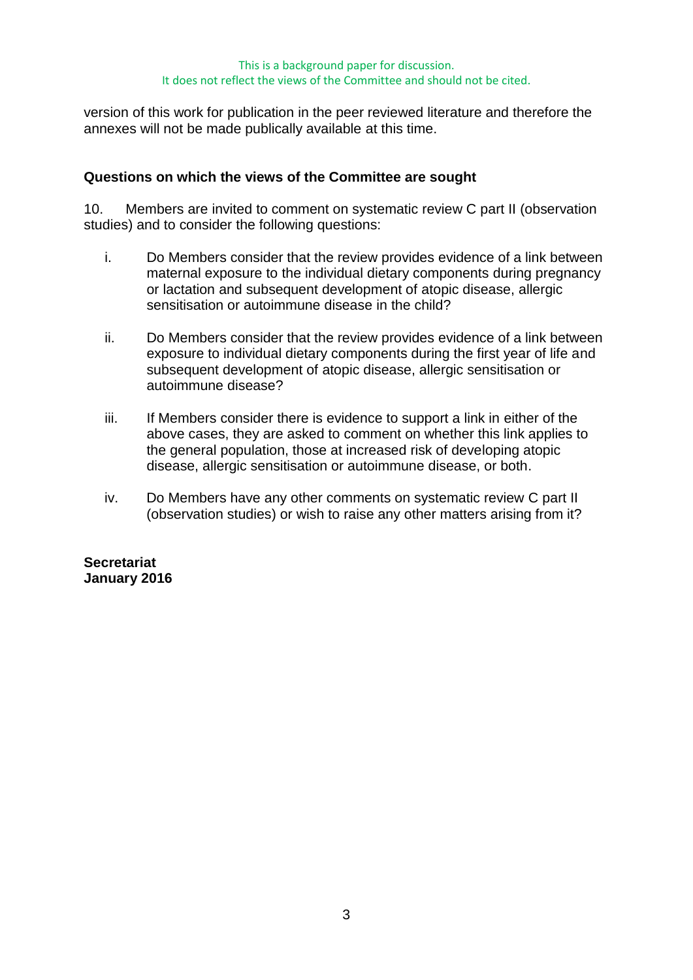#### This is a background paper for discussion. It does not reflect the views of the Committee and should not be cited.

version of this work for publication in the peer reviewed literature and therefore the annexes will not be made publically available at this time.

### **Questions on which the views of the Committee are sought**

10. Members are invited to comment on systematic review C part II (observation studies) and to consider the following questions:

- i. Do Members consider that the review provides evidence of a link between maternal exposure to the individual dietary components during pregnancy or lactation and subsequent development of atopic disease, allergic sensitisation or autoimmune disease in the child?
- ii. Do Members consider that the review provides evidence of a link between exposure to individual dietary components during the first year of life and subsequent development of atopic disease, allergic sensitisation or autoimmune disease?
- iii. If Members consider there is evidence to support a link in either of the above cases, they are asked to comment on whether this link applies to the general population, those at increased risk of developing atopic disease, allergic sensitisation or autoimmune disease, or both.
- iv. Do Members have any other comments on systematic review C part II (observation studies) or wish to raise any other matters arising from it?

#### **Secretariat January 2016**